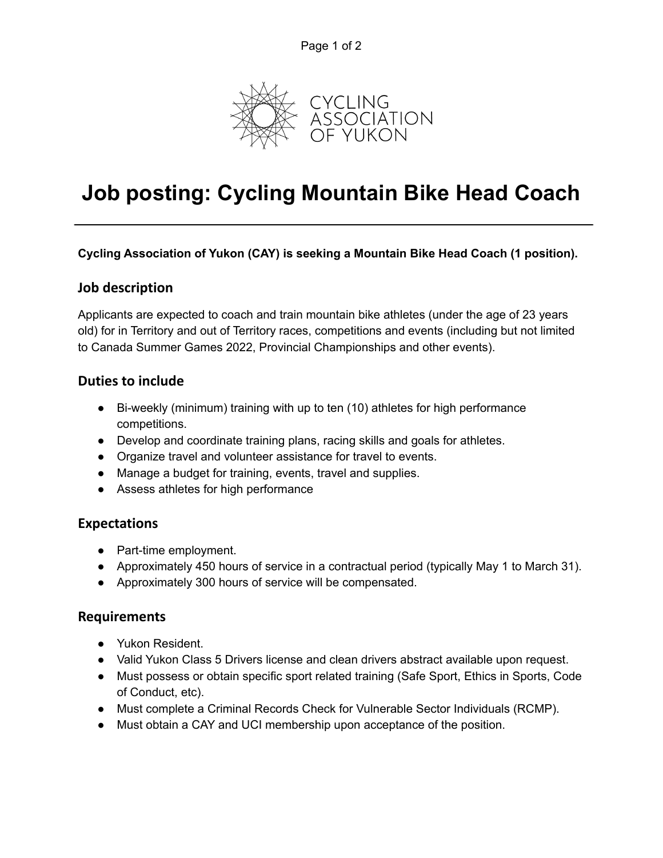

# **Job posting: Cycling Mountain Bike Head Coach**

#### **Cycling Association of Yukon (CAY) is seeking a Mountain Bike Head Coach (1 position).**

#### **Job description**

Applicants are expected to coach and train mountain bike athletes (under the age of 23 years old) for in Territory and out of Territory races, competitions and events (including but not limited to Canada Summer Games 2022, Provincial Championships and other events).

## **Duties to include**

- Bi-weekly (minimum) training with up to ten (10) athletes for high performance competitions.
- Develop and coordinate training plans, racing skills and goals for athletes.
- Organize travel and volunteer assistance for travel to events.
- Manage a budget for training, events, travel and supplies.
- Assess athletes for high performance

## **Expectations**

- Part-time employment.
- Approximately 450 hours of service in a contractual period (typically May 1 to March 31).
- Approximately 300 hours of service will be compensated.

## **Requirements**

- Yukon Resident.
- Valid Yukon Class 5 Drivers license and clean drivers abstract available upon request.
- Must possess or obtain specific sport related training (Safe Sport, Ethics in Sports, Code of Conduct, etc).
- Must complete a Criminal Records Check for Vulnerable Sector Individuals (RCMP).
- Must obtain a CAY and UCI membership upon acceptance of the position.